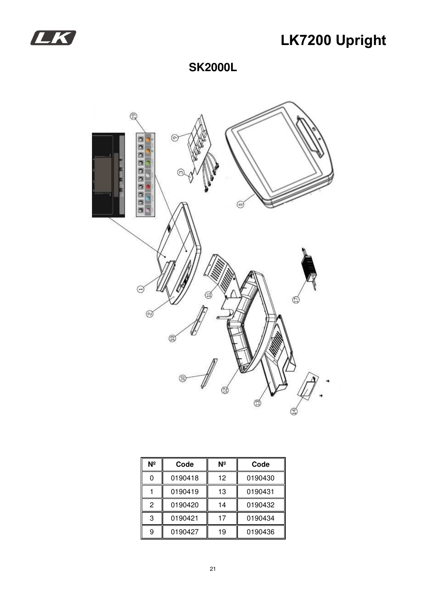

## **LK7200 Upright**

**SK2000L** 



| Nº | Code    | Νº | Code    |
|----|---------|----|---------|
| 0  | 0190418 | 12 | 0190430 |
|    | 0190419 | 13 | 0190431 |
| 2  | 0190420 | 14 | 0190432 |
| 3  | 0190421 | 17 | 0190434 |
| 9  | 0190427 | 19 | 0190436 |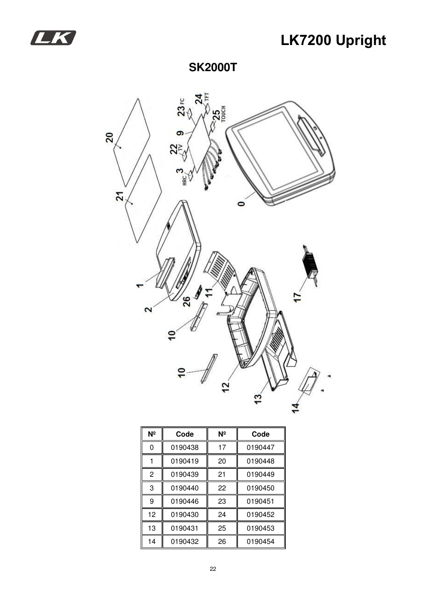

## **LK7200 Upright**

### **SK2000T**



| Nº | Code    | Νº | Code    |
|----|---------|----|---------|
| 0  | 0190438 | 17 | 0190447 |
|    | 0190419 | 20 | 0190448 |
| 2  | 0190439 | 21 | 0190449 |
| 3  | 0190440 | 22 | 0190450 |
| 9  | 0190446 | 23 | 0190451 |
| 12 | 0190430 | 24 | 0190452 |
| 13 | 0190431 | 25 | 0190453 |
| 14 | 0190432 | 26 | 0190454 |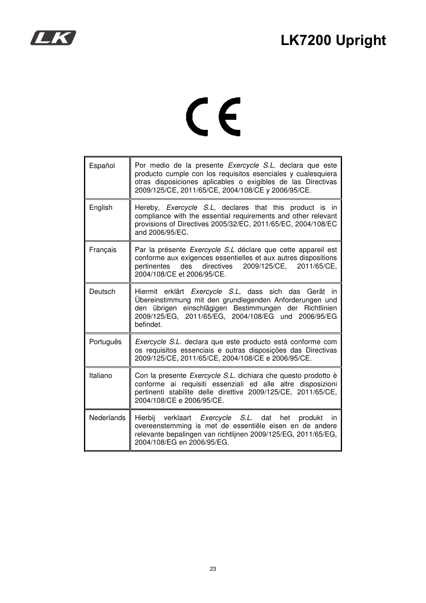



# $C \in$

| Español           | Por medio de la presente Exercycle S.L. declara que este<br>producto cumple con los requisitos esenciales y cualesquiera<br>otras disposiciones aplicables o exigibles de las Directivas<br>2009/125/CE, 2011/65/CE, 2004/108/CE y 2006/95/CE.          |
|-------------------|---------------------------------------------------------------------------------------------------------------------------------------------------------------------------------------------------------------------------------------------------------|
| English           | Hereby, <i>Exercycle S.L</i> , declares that this product is in<br>compliance with the essential requirements and other relevant<br>provisions of Directives 2005/32/EC, 2011/65/EC, 2004/108/EC<br>and 2006/95/EC.                                     |
| Français          | Par la présente Exercycle S.L déclare que cette appareil est<br>conforme aux exigences essentielles et aux autres dispositions<br>des directives<br>2009/125/CE, 2011/65/CE,<br>pertinentes<br>2004/108/CE et 2006/95/CE.                               |
| Deutsch           | Hiermit erklärt Exercycle S.L, dass sich das<br>Gerät in<br>Übereinstimmung mit den grundlegenden Anforderungen und<br>übrigen einschlägigen Bestimmungen der<br>Richtlinien<br>den<br>2009/125/EG, 2011/65/EG, 2004/108/EG und 2006/95/EG<br>befindet. |
| Português         | Exercycle S.L. declara que este producto está conforme com<br>os requisitos essenciais e outras disposições das Directivas<br>2009/125/CE, 2011/65/CE, 2004/108/CE e 2006/95/CE.                                                                        |
| Italiano          | Con la presente Exercycle S.L. dichiara che questo prodotto è<br>conforme ai requisiti essenziali ed alle altre disposizioni<br>pertinenti stabilite delle direttive 2009/125/CE, 2011/65/CE,<br>2004/108/CE e 2006/95/CE.                              |
| <b>Nederlands</b> | Hierbij verklaart Exercycle S.L. dat<br>het<br>produkt<br><i>in</i><br>overeenstemming is met de essentiële eisen en de andere<br>relevante bepalingen van richtlijnen 2009/125/EG, 2011/65/EG,<br>2004/108/EG en 2006/95/EG.                           |